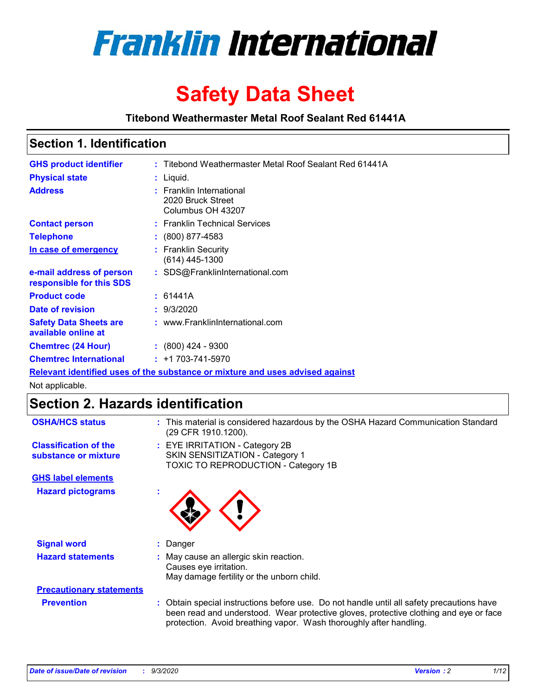

# **Safety Data Sheet**

**Titebond Weathermaster Metal Roof Sealant Red 61441A**

### **Section 1. Identification**

| <b>GHS product identifier</b>                                                 |  | : Titebond Weathermaster Metal Roof Sealant Red 61441A             |  |  |
|-------------------------------------------------------------------------------|--|--------------------------------------------------------------------|--|--|
| <b>Physical state</b>                                                         |  | $:$ Liquid.                                                        |  |  |
| <b>Address</b>                                                                |  | : Franklin International<br>2020 Bruck Street<br>Columbus OH 43207 |  |  |
| <b>Contact person</b>                                                         |  | : Franklin Technical Services                                      |  |  |
| <b>Telephone</b>                                                              |  | $\colon$ (800) 877-4583                                            |  |  |
| In case of emergency                                                          |  | : Franklin Security<br>(614) 445-1300                              |  |  |
| e-mail address of person<br>responsible for this SDS                          |  | : SDS@FranklinInternational.com                                    |  |  |
| <b>Product code</b>                                                           |  | : 61441A                                                           |  |  |
| Date of revision                                                              |  | : 9/3/2020                                                         |  |  |
| <b>Safety Data Sheets are</b><br>available online at                          |  | : www.FranklinInternational.com                                    |  |  |
| <b>Chemtrec (24 Hour)</b>                                                     |  | $\div$ (800) 424 - 9300                                            |  |  |
| <b>Chemtrec International</b>                                                 |  | $: +1703 - 741 - 5970$                                             |  |  |
| Relevant identified uses of the substance or mixture and uses advised against |  |                                                                    |  |  |

Not applicable.

## **Section 2. Hazards identification**

| <b>OSHA/HCS status</b>                               |    | : This material is considered hazardous by the OSHA Hazard Communication Standard<br>(29 CFR 1910.1200).                                                                                                                                                 |
|------------------------------------------------------|----|----------------------------------------------------------------------------------------------------------------------------------------------------------------------------------------------------------------------------------------------------------|
| <b>Classification of the</b><br>substance or mixture |    | : EYE IRRITATION - Category 2B<br>SKIN SENSITIZATION - Category 1<br>TOXIC TO REPRODUCTION - Category 1B                                                                                                                                                 |
| <b>GHS label elements</b>                            |    |                                                                                                                                                                                                                                                          |
| <b>Hazard pictograms</b>                             | ٠  |                                                                                                                                                                                                                                                          |
| <b>Signal word</b>                                   | ÷. | Danger                                                                                                                                                                                                                                                   |
| <b>Hazard statements</b>                             |    | May cause an allergic skin reaction.<br>Causes eye irritation.<br>May damage fertility or the unborn child.                                                                                                                                              |
| <b>Precautionary statements</b>                      |    |                                                                                                                                                                                                                                                          |
| <b>Prevention</b>                                    |    | : Obtain special instructions before use. Do not handle until all safety precautions have<br>been read and understood. Wear protective gloves, protective clothing and eye or face<br>protection. Avoid breathing vapor. Wash thoroughly after handling. |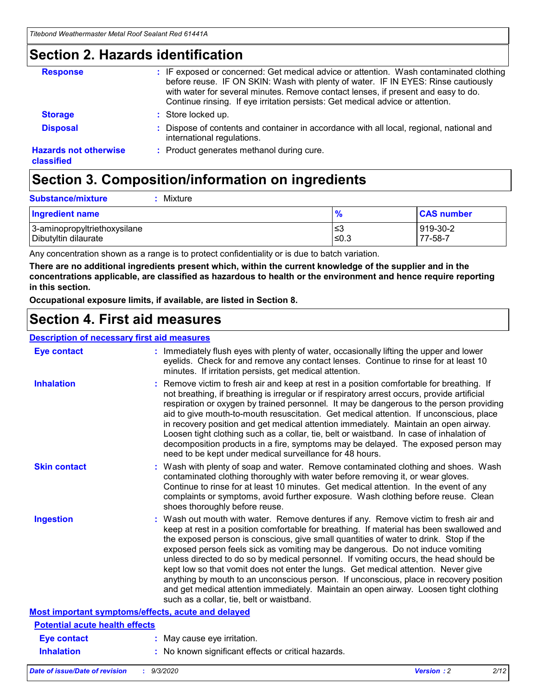### **Section 2. Hazards identification**

| <b>Response</b>                            | : IF exposed or concerned: Get medical advice or attention. Wash contaminated clothing<br>before reuse. IF ON SKIN: Wash with plenty of water. IF IN EYES: Rinse cautiously<br>with water for several minutes. Remove contact lenses, if present and easy to do.<br>Continue rinsing. If eye irritation persists: Get medical advice or attention. |
|--------------------------------------------|----------------------------------------------------------------------------------------------------------------------------------------------------------------------------------------------------------------------------------------------------------------------------------------------------------------------------------------------------|
| <b>Storage</b>                             | : Store locked up.                                                                                                                                                                                                                                                                                                                                 |
| <b>Disposal</b>                            | : Dispose of contents and container in accordance with all local, regional, national and<br>international regulations.                                                                                                                                                                                                                             |
| <b>Hazards not otherwise</b><br>classified | : Product generates methanol during cure.                                                                                                                                                                                                                                                                                                          |

# **Section 3. Composition/information on ingredients**

| <b>Substance/mixture</b> | Mixture |
|--------------------------|---------|
|                          |         |

| <b>Ingredient name</b>       | $\frac{9}{6}$ | <b>CAS number</b> |
|------------------------------|---------------|-------------------|
| 3-aminopropyltriethoxysilane | ≤3            | 919-30-2          |
| Dibutyltin dilaurate         | ∣≤0.3         | 77-58-7           |

Any concentration shown as a range is to protect confidentiality or is due to batch variation.

**There are no additional ingredients present which, within the current knowledge of the supplier and in the concentrations applicable, are classified as hazardous to health or the environment and hence require reporting in this section.**

**Occupational exposure limits, if available, are listed in Section 8.**

### **Section 4. First aid measures**

| <b>Description of necessary first aid measures</b> |                                                                                                                                                                                                                                                                                                                                                                                                                                                                                                                                                                                                                                                                                                                                                                           |
|----------------------------------------------------|---------------------------------------------------------------------------------------------------------------------------------------------------------------------------------------------------------------------------------------------------------------------------------------------------------------------------------------------------------------------------------------------------------------------------------------------------------------------------------------------------------------------------------------------------------------------------------------------------------------------------------------------------------------------------------------------------------------------------------------------------------------------------|
| <b>Eye contact</b>                                 | : Immediately flush eyes with plenty of water, occasionally lifting the upper and lower<br>eyelids. Check for and remove any contact lenses. Continue to rinse for at least 10<br>minutes. If irritation persists, get medical attention.                                                                                                                                                                                                                                                                                                                                                                                                                                                                                                                                 |
| <b>Inhalation</b>                                  | : Remove victim to fresh air and keep at rest in a position comfortable for breathing. If<br>not breathing, if breathing is irregular or if respiratory arrest occurs, provide artificial<br>respiration or oxygen by trained personnel. It may be dangerous to the person providing<br>aid to give mouth-to-mouth resuscitation. Get medical attention. If unconscious, place<br>in recovery position and get medical attention immediately. Maintain an open airway.<br>Loosen tight clothing such as a collar, tie, belt or waistband. In case of inhalation of<br>decomposition products in a fire, symptoms may be delayed. The exposed person may<br>need to be kept under medical surveillance for 48 hours.                                                       |
| <b>Skin contact</b>                                | : Wash with plenty of soap and water. Remove contaminated clothing and shoes. Wash<br>contaminated clothing thoroughly with water before removing it, or wear gloves.<br>Continue to rinse for at least 10 minutes. Get medical attention. In the event of any<br>complaints or symptoms, avoid further exposure. Wash clothing before reuse. Clean<br>shoes thoroughly before reuse.                                                                                                                                                                                                                                                                                                                                                                                     |
| <b>Ingestion</b>                                   | : Wash out mouth with water. Remove dentures if any. Remove victim to fresh air and<br>keep at rest in a position comfortable for breathing. If material has been swallowed and<br>the exposed person is conscious, give small quantities of water to drink. Stop if the<br>exposed person feels sick as vomiting may be dangerous. Do not induce vomiting<br>unless directed to do so by medical personnel. If vomiting occurs, the head should be<br>kept low so that vomit does not enter the lungs. Get medical attention. Never give<br>anything by mouth to an unconscious person. If unconscious, place in recovery position<br>and get medical attention immediately. Maintain an open airway. Loosen tight clothing<br>such as a collar, tie, belt or waistband. |
| Most important symptoms/effects, acute and delayed |                                                                                                                                                                                                                                                                                                                                                                                                                                                                                                                                                                                                                                                                                                                                                                           |
| <b>Potential acute health effects</b>              |                                                                                                                                                                                                                                                                                                                                                                                                                                                                                                                                                                                                                                                                                                                                                                           |
| <b>Eye contact</b>                                 | : May cause eye irritation.                                                                                                                                                                                                                                                                                                                                                                                                                                                                                                                                                                                                                                                                                                                                               |
| <b>Inhalation</b>                                  | : No known significant effects or critical hazards.                                                                                                                                                                                                                                                                                                                                                                                                                                                                                                                                                                                                                                                                                                                       |
|                                                    |                                                                                                                                                                                                                                                                                                                                                                                                                                                                                                                                                                                                                                                                                                                                                                           |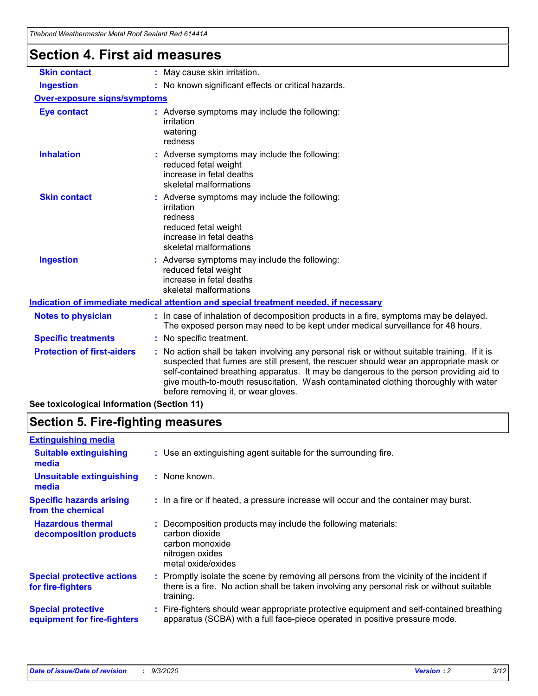| Titebond Weathermaster Metal Roof Sealant Red 61441A |                                                                                                                                                                                                                                                                                                                                                                                                               |  |  |  |
|------------------------------------------------------|---------------------------------------------------------------------------------------------------------------------------------------------------------------------------------------------------------------------------------------------------------------------------------------------------------------------------------------------------------------------------------------------------------------|--|--|--|
| <b>Section 4. First aid measures</b>                 |                                                                                                                                                                                                                                                                                                                                                                                                               |  |  |  |
| <b>Skin contact</b>                                  | : May cause skin irritation.                                                                                                                                                                                                                                                                                                                                                                                  |  |  |  |
| <b>Ingestion</b>                                     | : No known significant effects or critical hazards.                                                                                                                                                                                                                                                                                                                                                           |  |  |  |
| <b>Over-exposure signs/symptoms</b>                  |                                                                                                                                                                                                                                                                                                                                                                                                               |  |  |  |
| <b>Eye contact</b>                                   | : Adverse symptoms may include the following:<br>irritation<br>watering<br>redness                                                                                                                                                                                                                                                                                                                            |  |  |  |
| <b>Inhalation</b>                                    | : Adverse symptoms may include the following:<br>reduced fetal weight<br>increase in fetal deaths<br>skeletal malformations                                                                                                                                                                                                                                                                                   |  |  |  |
| <b>Skin contact</b>                                  | : Adverse symptoms may include the following:<br>irritation<br>redness<br>reduced fetal weight<br>increase in fetal deaths<br>skeletal malformations                                                                                                                                                                                                                                                          |  |  |  |
| <b>Ingestion</b>                                     | Adverse symptoms may include the following:<br>reduced fetal weight<br>increase in fetal deaths<br>skeletal malformations                                                                                                                                                                                                                                                                                     |  |  |  |
|                                                      | Indication of immediate medical attention and special treatment needed, if necessary                                                                                                                                                                                                                                                                                                                          |  |  |  |
| <b>Notes to physician</b>                            | : In case of inhalation of decomposition products in a fire, symptoms may be delayed.<br>The exposed person may need to be kept under medical surveillance for 48 hours.                                                                                                                                                                                                                                      |  |  |  |
| <b>Specific treatments</b>                           | : No specific treatment.                                                                                                                                                                                                                                                                                                                                                                                      |  |  |  |
| <b>Protection of first-aiders</b>                    | No action shall be taken involving any personal risk or without suitable training. If it is<br>suspected that fumes are still present, the rescuer should wear an appropriate mask or<br>self-contained breathing apparatus. It may be dangerous to the person providing aid to<br>give mouth-to-mouth resuscitation. Wash contaminated clothing thoroughly with water<br>before removing it, or wear gloves. |  |  |  |
| See toxicological information (Section 11)           |                                                                                                                                                                                                                                                                                                                                                                                                               |  |  |  |

### **Section 5. Fire-fighting measures**

| <b>Extinguishing media</b>                               |                                                                                                                                                                                                     |  |
|----------------------------------------------------------|-----------------------------------------------------------------------------------------------------------------------------------------------------------------------------------------------------|--|
| <b>Suitable extinguishing</b><br>media                   | : Use an extinguishing agent suitable for the surrounding fire.                                                                                                                                     |  |
| <b>Unsuitable extinguishing</b><br>media                 | : None known.                                                                                                                                                                                       |  |
| <b>Specific hazards arising</b><br>from the chemical     | : In a fire or if heated, a pressure increase will occur and the container may burst.                                                                                                               |  |
| <b>Hazardous thermal</b><br>decomposition products       | : Decomposition products may include the following materials:<br>carbon dioxide<br>carbon monoxide<br>nitrogen oxides<br>metal oxide/oxides                                                         |  |
| <b>Special protective actions</b><br>for fire-fighters   | : Promptly isolate the scene by removing all persons from the vicinity of the incident if<br>there is a fire. No action shall be taken involving any personal risk or without suitable<br>training. |  |
| <b>Special protective</b><br>equipment for fire-fighters | Fire-fighters should wear appropriate protective equipment and self-contained breathing<br>apparatus (SCBA) with a full face-piece operated in positive pressure mode.                              |  |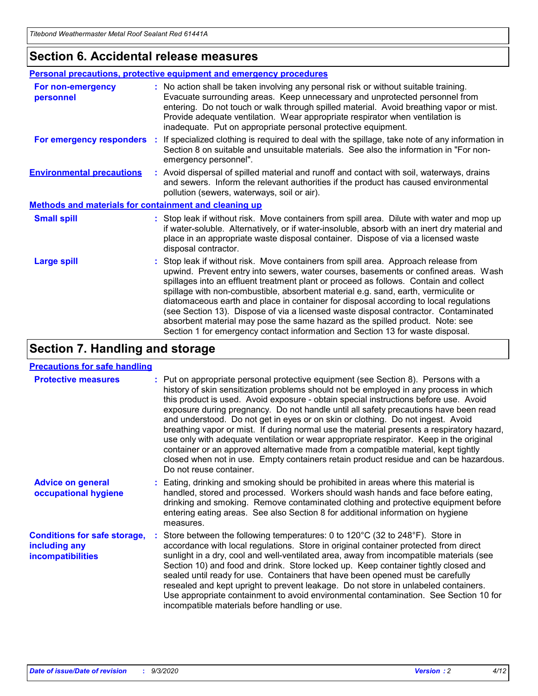### **Section 6. Accidental release measures**

|                                                              | Personal precautions, protective equipment and emergency procedures                                                                                                                                                                                                                                                                                                                                                                                                                                                                                                                                                                                                                                          |  |  |  |
|--------------------------------------------------------------|--------------------------------------------------------------------------------------------------------------------------------------------------------------------------------------------------------------------------------------------------------------------------------------------------------------------------------------------------------------------------------------------------------------------------------------------------------------------------------------------------------------------------------------------------------------------------------------------------------------------------------------------------------------------------------------------------------------|--|--|--|
| For non-emergency<br>personnel                               | : No action shall be taken involving any personal risk or without suitable training.<br>Evacuate surrounding areas. Keep unnecessary and unprotected personnel from<br>entering. Do not touch or walk through spilled material. Avoid breathing vapor or mist.<br>Provide adequate ventilation. Wear appropriate respirator when ventilation is<br>inadequate. Put on appropriate personal protective equipment.                                                                                                                                                                                                                                                                                             |  |  |  |
| For emergency responders                                     | : If specialized clothing is required to deal with the spillage, take note of any information in<br>Section 8 on suitable and unsuitable materials. See also the information in "For non-<br>emergency personnel".                                                                                                                                                                                                                                                                                                                                                                                                                                                                                           |  |  |  |
| <b>Environmental precautions</b>                             | : Avoid dispersal of spilled material and runoff and contact with soil, waterways, drains<br>and sewers. Inform the relevant authorities if the product has caused environmental<br>pollution (sewers, waterways, soil or air).                                                                                                                                                                                                                                                                                                                                                                                                                                                                              |  |  |  |
| <b>Methods and materials for containment and cleaning up</b> |                                                                                                                                                                                                                                                                                                                                                                                                                                                                                                                                                                                                                                                                                                              |  |  |  |
| <b>Small spill</b>                                           | : Stop leak if without risk. Move containers from spill area. Dilute with water and mop up<br>if water-soluble. Alternatively, or if water-insoluble, absorb with an inert dry material and<br>place in an appropriate waste disposal container. Dispose of via a licensed waste<br>disposal contractor.                                                                                                                                                                                                                                                                                                                                                                                                     |  |  |  |
| <b>Large spill</b>                                           | : Stop leak if without risk. Move containers from spill area. Approach release from<br>upwind. Prevent entry into sewers, water courses, basements or confined areas. Wash<br>spillages into an effluent treatment plant or proceed as follows. Contain and collect<br>spillage with non-combustible, absorbent material e.g. sand, earth, vermiculite or<br>diatomaceous earth and place in container for disposal according to local regulations<br>(see Section 13). Dispose of via a licensed waste disposal contractor. Contaminated<br>absorbent material may pose the same hazard as the spilled product. Note: see<br>Section 1 for emergency contact information and Section 13 for waste disposal. |  |  |  |

### **Section 7. Handling and storage**

#### **Precautions for safe handling**

| <b>Protective measures</b>                                                       | : Put on appropriate personal protective equipment (see Section 8). Persons with a<br>history of skin sensitization problems should not be employed in any process in which<br>this product is used. Avoid exposure - obtain special instructions before use. Avoid<br>exposure during pregnancy. Do not handle until all safety precautions have been read<br>and understood. Do not get in eyes or on skin or clothing. Do not ingest. Avoid<br>breathing vapor or mist. If during normal use the material presents a respiratory hazard,<br>use only with adequate ventilation or wear appropriate respirator. Keep in the original<br>container or an approved alternative made from a compatible material, kept tightly<br>closed when not in use. Empty containers retain product residue and can be hazardous.<br>Do not reuse container. |
|----------------------------------------------------------------------------------|--------------------------------------------------------------------------------------------------------------------------------------------------------------------------------------------------------------------------------------------------------------------------------------------------------------------------------------------------------------------------------------------------------------------------------------------------------------------------------------------------------------------------------------------------------------------------------------------------------------------------------------------------------------------------------------------------------------------------------------------------------------------------------------------------------------------------------------------------|
| <b>Advice on general</b><br>occupational hygiene                                 | : Eating, drinking and smoking should be prohibited in areas where this material is<br>handled, stored and processed. Workers should wash hands and face before eating,<br>drinking and smoking. Remove contaminated clothing and protective equipment before<br>entering eating areas. See also Section 8 for additional information on hygiene<br>measures.                                                                                                                                                                                                                                                                                                                                                                                                                                                                                    |
| <b>Conditions for safe storage,</b><br>including any<br><i>incompatibilities</i> | Store between the following temperatures: 0 to $120^{\circ}$ C (32 to $248^{\circ}$ F). Store in<br>accordance with local regulations. Store in original container protected from direct<br>sunlight in a dry, cool and well-ventilated area, away from incompatible materials (see<br>Section 10) and food and drink. Store locked up. Keep container tightly closed and<br>sealed until ready for use. Containers that have been opened must be carefully<br>resealed and kept upright to prevent leakage. Do not store in unlabeled containers.<br>Use appropriate containment to avoid environmental contamination. See Section 10 for<br>incompatible materials before handling or use.                                                                                                                                                     |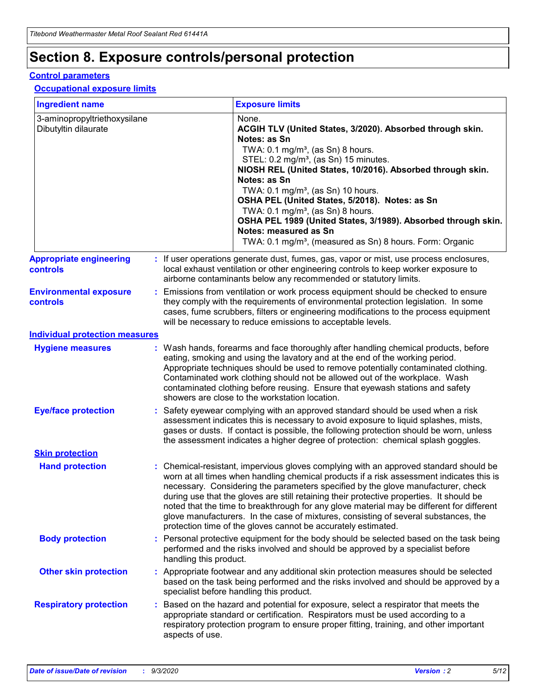# **Section 8. Exposure controls/personal protection**

#### **Control parameters**

#### **Occupational exposure limits**

| <b>Ingredient name</b>                               |    |                        | <b>Exposure limits</b>                                                                                                                                                                                                                                                                                                                                                                                                                                                                                                                                                                                                 |
|------------------------------------------------------|----|------------------------|------------------------------------------------------------------------------------------------------------------------------------------------------------------------------------------------------------------------------------------------------------------------------------------------------------------------------------------------------------------------------------------------------------------------------------------------------------------------------------------------------------------------------------------------------------------------------------------------------------------------|
| 3-aminopropyltriethoxysilane<br>Dibutyltin dilaurate |    |                        | None.<br>ACGIH TLV (United States, 3/2020). Absorbed through skin.<br>Notes: as Sn<br>TWA: $0.1 \text{ mg/m}^3$ , (as Sn) 8 hours.<br>STEL: 0.2 mg/m <sup>3</sup> , (as Sn) 15 minutes.<br>NIOSH REL (United States, 10/2016). Absorbed through skin.<br>Notes: as Sn<br>TWA: 0.1 mg/m <sup>3</sup> , (as Sn) 10 hours.<br>OSHA PEL (United States, 5/2018). Notes: as Sn<br>TWA: $0.1 \text{ mg/m}^3$ , (as Sn) 8 hours.<br>OSHA PEL 1989 (United States, 3/1989). Absorbed through skin.<br>Notes: measured as Sn<br>TWA: 0.1 mg/m <sup>3</sup> , (measured as Sn) 8 hours. Form: Organic                            |
| <b>Appropriate engineering</b><br>controls           |    |                        | : If user operations generate dust, fumes, gas, vapor or mist, use process enclosures,<br>local exhaust ventilation or other engineering controls to keep worker exposure to<br>airborne contaminants below any recommended or statutory limits.                                                                                                                                                                                                                                                                                                                                                                       |
| <b>Environmental exposure</b><br>controls            |    |                        | Emissions from ventilation or work process equipment should be checked to ensure<br>they comply with the requirements of environmental protection legislation. In some<br>cases, fume scrubbers, filters or engineering modifications to the process equipment<br>will be necessary to reduce emissions to acceptable levels.                                                                                                                                                                                                                                                                                          |
| <b>Individual protection measures</b>                |    |                        |                                                                                                                                                                                                                                                                                                                                                                                                                                                                                                                                                                                                                        |
| <b>Hygiene measures</b>                              |    |                        | : Wash hands, forearms and face thoroughly after handling chemical products, before<br>eating, smoking and using the lavatory and at the end of the working period.<br>Appropriate techniques should be used to remove potentially contaminated clothing.<br>Contaminated work clothing should not be allowed out of the workplace. Wash<br>contaminated clothing before reusing. Ensure that eyewash stations and safety<br>showers are close to the workstation location.                                                                                                                                            |
| <b>Eye/face protection</b>                           |    |                        | : Safety eyewear complying with an approved standard should be used when a risk<br>assessment indicates this is necessary to avoid exposure to liquid splashes, mists,<br>gases or dusts. If contact is possible, the following protection should be worn, unless<br>the assessment indicates a higher degree of protection: chemical splash goggles.                                                                                                                                                                                                                                                                  |
| <b>Skin protection</b>                               |    |                        |                                                                                                                                                                                                                                                                                                                                                                                                                                                                                                                                                                                                                        |
| <b>Hand protection</b>                               |    |                        | : Chemical-resistant, impervious gloves complying with an approved standard should be<br>worn at all times when handling chemical products if a risk assessment indicates this is<br>necessary. Considering the parameters specified by the glove manufacturer, check<br>during use that the gloves are still retaining their protective properties. It should be<br>noted that the time to breakthrough for any glove material may be different for different<br>glove manufacturers. In the case of mixtures, consisting of several substances, the<br>protection time of the gloves cannot be accurately estimated. |
| <b>Body protection</b>                               |    | handling this product. | Personal protective equipment for the body should be selected based on the task being<br>performed and the risks involved and should be approved by a specialist before                                                                                                                                                                                                                                                                                                                                                                                                                                                |
| <b>Other skin protection</b>                         |    |                        | : Appropriate footwear and any additional skin protection measures should be selected<br>based on the task being performed and the risks involved and should be approved by a<br>specialist before handling this product.                                                                                                                                                                                                                                                                                                                                                                                              |
| <b>Respiratory protection</b>                        | ÷. | aspects of use.        | Based on the hazard and potential for exposure, select a respirator that meets the<br>appropriate standard or certification. Respirators must be used according to a<br>respiratory protection program to ensure proper fitting, training, and other important                                                                                                                                                                                                                                                                                                                                                         |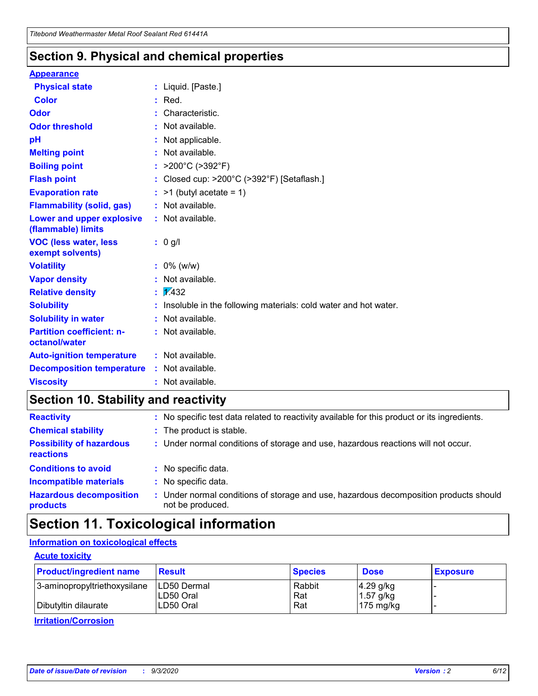### **Section 9. Physical and chemical properties**

#### **Appearance**

| <b>Physical state</b>                             |   | : Liquid. [Paste.]                                              |
|---------------------------------------------------|---|-----------------------------------------------------------------|
| <b>Color</b>                                      |   | Red.                                                            |
| Odor                                              |   | Characteristic.                                                 |
| <b>Odor threshold</b>                             | ÷ | Not available.                                                  |
| рH                                                |   | Not applicable.                                                 |
| <b>Melting point</b>                              |   | : Not available.                                                |
| <b>Boiling point</b>                              |   | >200°C (>392°F)                                                 |
| <b>Flash point</b>                                |   | Closed cup: >200°C (>392°F) [Setaflash.]                        |
| <b>Evaporation rate</b>                           |   | $:$ >1 (butyl acetate = 1)                                      |
| <b>Flammability (solid, gas)</b>                  |   | : Not available.                                                |
| Lower and upper explosive<br>(flammable) limits   |   | : Not available.                                                |
| <b>VOC (less water, less)</b><br>exempt solvents) |   | : 0 g/l                                                         |
| <b>Volatility</b>                                 |   | $: 0\%$ (w/w)                                                   |
| <b>Vapor density</b>                              |   | Not available.                                                  |
| <b>Relative density</b>                           |   | $\mathbf{1}$ $\mathbf{\sqrt{432}}$                              |
| <b>Solubility</b>                                 |   | Insoluble in the following materials: cold water and hot water. |
| <b>Solubility in water</b>                        |   | Not available.                                                  |
| <b>Partition coefficient: n-</b><br>octanol/water |   | $:$ Not available.                                              |
| <b>Auto-ignition temperature</b>                  |   | : Not available.                                                |
| <b>Decomposition temperature</b>                  |   | : Not available.                                                |
| <b>Viscosity</b>                                  |   | $:$ Not available.                                              |

### **Section 10. Stability and reactivity**

| <b>Reactivity</b>                            |    | : No specific test data related to reactivity available for this product or its ingredients.            |
|----------------------------------------------|----|---------------------------------------------------------------------------------------------------------|
| <b>Chemical stability</b>                    |    | : The product is stable.                                                                                |
| <b>Possibility of hazardous</b><br>reactions |    | : Under normal conditions of storage and use, hazardous reactions will not occur.                       |
| <b>Conditions to avoid</b>                   |    | : No specific data.                                                                                     |
| <b>Incompatible materials</b>                | ٠. | No specific data.                                                                                       |
| <b>Hazardous decomposition</b><br>products   | ÷. | Under normal conditions of storage and use, hazardous decomposition products should<br>not be produced. |

### **Section 11. Toxicological information**

#### **Information on toxicological effects**

#### **Acute toxicity**

| <b>Product/ingredient name</b> | <b>Result</b> | <b>Species</b> | <b>Dose</b>         | <b>Exposure</b> |
|--------------------------------|---------------|----------------|---------------------|-----------------|
| 3-aminopropyltriethoxysilane   | LD50 Dermal   | Rabbit         | $4.29$ g/kg         |                 |
|                                | ILD50 Oral    | Rat            | 1.57 g/kg           |                 |
| Dibutyltin dilaurate           | LD50 Oral     | Rat            | $175 \text{ mg/kg}$ |                 |

**Irritation/Corrosion**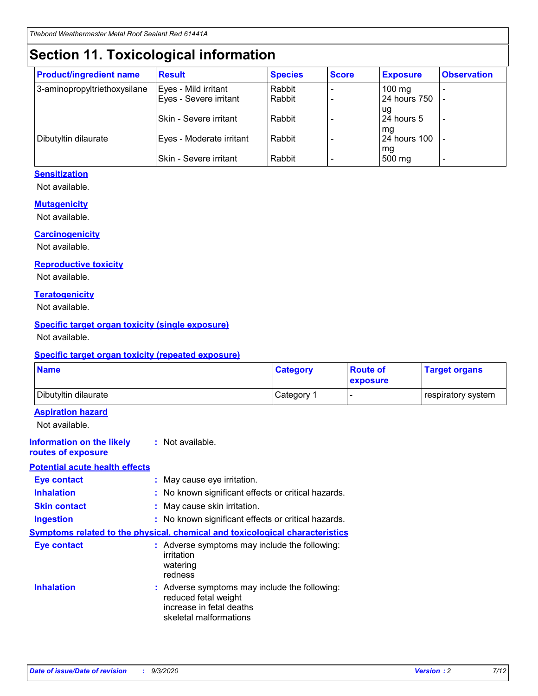# **Section 11. Toxicological information**

| <b>Product/ingredient name</b> | <b>Result</b>                 | <b>Species</b> | <b>Score</b> | <b>Exposure</b>    | <b>Observation</b>       |
|--------------------------------|-------------------------------|----------------|--------------|--------------------|--------------------------|
| 3-aminopropyltriethoxysilane   | Eyes - Mild irritant          | Rabbit         |              | $100 \text{ mg}$   |                          |
|                                | Eyes - Severe irritant        | Rabbit         |              | 24 hours 750       |                          |
|                                |                               |                |              | ug                 |                          |
|                                | <b>Skin - Severe irritant</b> | Rabbit         |              | 24 hours 5         | $\overline{\phantom{a}}$ |
| Dibutyltin dilaurate           | Eyes - Moderate irritant      | Rabbit         |              | mg<br>24 hours 100 |                          |
|                                |                               |                |              | mg                 |                          |
|                                | Skin - Severe irritant        | Rabbit         |              | 500 mg             | -                        |

#### **Sensitization**

Not available.

#### **Mutagenicity**

Not available.

#### **Carcinogenicity**

Not available.

#### **Reproductive toxicity**

Not available.

#### **Teratogenicity**

Not available.

#### **Specific target organ toxicity (single exposure)**

Not available.

#### **Specific target organ toxicity (repeated exposure)**

| <b>Name</b>                                                                         |                                                                            | <b>Category</b>                                     | <b>Route of</b><br>exposure | <b>Target organs</b> |  |  |
|-------------------------------------------------------------------------------------|----------------------------------------------------------------------------|-----------------------------------------------------|-----------------------------|----------------------|--|--|
| Dibutyltin dilaurate                                                                |                                                                            | Category 1                                          | -                           | respiratory system   |  |  |
| <b>Aspiration hazard</b><br>Not available.                                          |                                                                            |                                                     |                             |                      |  |  |
| <b>Information on the likely</b><br>routes of exposure                              | : Not available.                                                           |                                                     |                             |                      |  |  |
| <b>Potential acute health effects</b>                                               |                                                                            |                                                     |                             |                      |  |  |
| <b>Eye contact</b>                                                                  |                                                                            | : May cause eye irritation.                         |                             |                      |  |  |
| <b>Inhalation</b>                                                                   |                                                                            | : No known significant effects or critical hazards. |                             |                      |  |  |
| <b>Skin contact</b>                                                                 |                                                                            | : May cause skin irritation.                        |                             |                      |  |  |
| <b>Ingestion</b>                                                                    |                                                                            | : No known significant effects or critical hazards. |                             |                      |  |  |
| <b>Symptoms related to the physical, chemical and toxicological characteristics</b> |                                                                            |                                                     |                             |                      |  |  |
| <b>Eye contact</b>                                                                  | irritation<br>watering<br>redness                                          | : Adverse symptoms may include the following:       |                             |                      |  |  |
| <b>Inhalation</b>                                                                   | reduced fetal weight<br>increase in fetal deaths<br>skeletal malformations | : Adverse symptoms may include the following:       |                             |                      |  |  |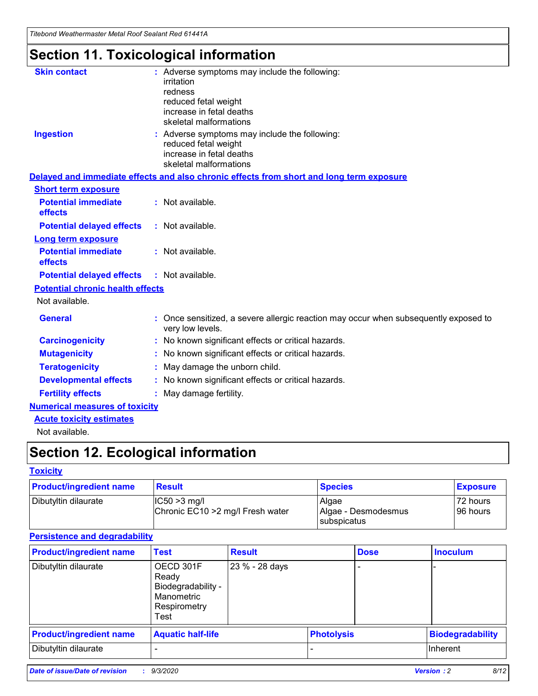*Titebond Weathermaster Metal Roof Sealant Red 61441A*

# **Section 11. Toxicological information**

| <b>Skin contact</b>                     | : Adverse symptoms may include the following:<br>irritation                                                                 |  |
|-----------------------------------------|-----------------------------------------------------------------------------------------------------------------------------|--|
|                                         | redness                                                                                                                     |  |
|                                         | reduced fetal weight<br>increase in fetal deaths                                                                            |  |
|                                         | skeletal malformations                                                                                                      |  |
| <b>Ingestion</b>                        | : Adverse symptoms may include the following:<br>reduced fetal weight<br>increase in fetal deaths<br>skeletal malformations |  |
|                                         | Delayed and immediate effects and also chronic effects from short and long term exposure                                    |  |
| <b>Short term exposure</b>              |                                                                                                                             |  |
| <b>Potential immediate</b><br>effects   | : Not available.                                                                                                            |  |
| <b>Potential delayed effects</b>        | : Not available.                                                                                                            |  |
| <b>Long term exposure</b>               |                                                                                                                             |  |
| <b>Potential immediate</b><br>effects   | : Not available.                                                                                                            |  |
| <b>Potential delayed effects</b>        | : Not available.                                                                                                            |  |
| <b>Potential chronic health effects</b> |                                                                                                                             |  |
| Not available.                          |                                                                                                                             |  |
| <b>General</b>                          | Once sensitized, a severe allergic reaction may occur when subsequently exposed to<br>very low levels.                      |  |
| <b>Carcinogenicity</b>                  | : No known significant effects or critical hazards.                                                                         |  |
| <b>Mutagenicity</b>                     | : No known significant effects or critical hazards.                                                                         |  |
| <b>Teratogenicity</b>                   | May damage the unborn child.                                                                                                |  |
| <b>Developmental effects</b>            | : No known significant effects or critical hazards.                                                                         |  |
| <b>Fertility effects</b>                | May damage fertility.                                                                                                       |  |
| <b>Numerical measures of toxicity</b>   |                                                                                                                             |  |
| <b>Acute toxicity estimates</b>         |                                                                                                                             |  |
| الملحلة والمستحيط والمسالم              |                                                                                                                             |  |

Not available.

# **Section 12. Ecological information**

#### **Toxicity**

| <b>Product/ingredient name</b> | <b>Result</b>                                       | <b>Species</b>               | <b>Exposure</b>       |
|--------------------------------|-----------------------------------------------------|------------------------------|-----------------------|
| Dibutyltin dilaurate           | $ CC50>3$ mg/l<br>Chronic EC10 > 2 mg/l Fresh water | Algae<br>Algae - Desmodesmus | 72 hours<br>196 hours |
|                                |                                                     | <b>I</b> subspicatus         |                       |

#### **Persistence and degradability**

| <b>Product/ingredient name</b> | <b>Test</b>                                                                    | <b>Result</b>  |                   | <b>Dose</b> | <b>Inoculum</b>         |
|--------------------------------|--------------------------------------------------------------------------------|----------------|-------------------|-------------|-------------------------|
| Dibutyltin dilaurate           | OECD 301F<br>Ready<br>Biodegradability -<br>Manometric<br>Respirometry<br>Test | 23 % - 28 days |                   |             |                         |
| <b>Product/ingredient name</b> | <b>Aquatic half-life</b>                                                       |                | <b>Photolysis</b> |             | <b>Biodegradability</b> |
| Dibutyltin dilaurate           |                                                                                |                |                   |             | <b>Inherent</b>         |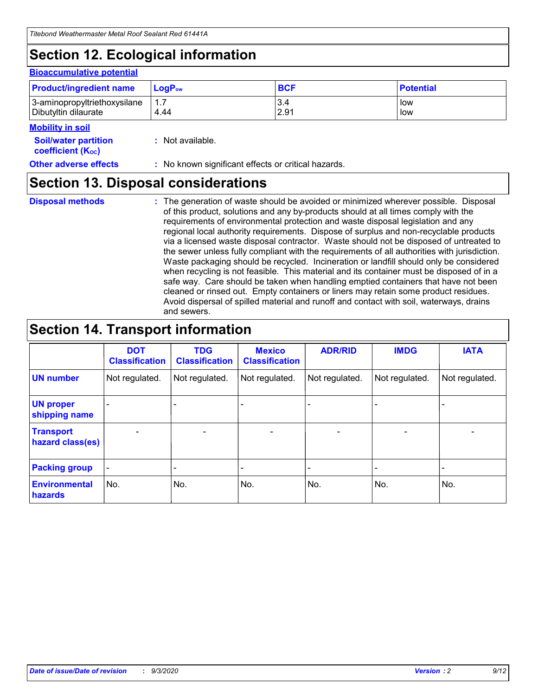# **Section 12. Ecological information**

#### **Bioaccumulative potential**

| <b>Product/ingredient name</b> | <b>LogP</b> <sub>ow</sub> | <b>BCF</b> | <b>Potential</b> |
|--------------------------------|---------------------------|------------|------------------|
| 3-aminopropyltriethoxysilane   | 4.44                      | 3.4        | low              |
| Dibutyltin dilaurate           |                           | 2.91       | low              |

#### **Mobility in soil**

| <b>MODILITY III SOIL</b>                                      |                                                     |
|---------------------------------------------------------------|-----------------------------------------------------|
| <b>Soil/water partition</b><br>coefficient (K <sub>oc</sub> ) | : Not available.                                    |
| <b>Other adverse effects</b>                                  | : No known significant effects or critical hazards. |

### **Section 13. Disposal considerations**

**Disposal methods :**

The generation of waste should be avoided or minimized wherever possible. Disposal of this product, solutions and any by-products should at all times comply with the requirements of environmental protection and waste disposal legislation and any regional local authority requirements. Dispose of surplus and non-recyclable products via a licensed waste disposal contractor. Waste should not be disposed of untreated to the sewer unless fully compliant with the requirements of all authorities with jurisdiction. Waste packaging should be recycled. Incineration or landfill should only be considered when recycling is not feasible. This material and its container must be disposed of in a safe way. Care should be taken when handling emptied containers that have not been cleaned or rinsed out. Empty containers or liners may retain some product residues. Avoid dispersal of spilled material and runoff and contact with soil, waterways, drains and sewers.

### **Section 14. Transport information**

|                                      | <b>DOT</b><br><b>Classification</b> | <b>TDG</b><br><b>Classification</b> | <b>Mexico</b><br><b>Classification</b> | <b>ADR/RID</b>           | <b>IMDG</b>              | <b>IATA</b>    |
|--------------------------------------|-------------------------------------|-------------------------------------|----------------------------------------|--------------------------|--------------------------|----------------|
| <b>UN number</b>                     | Not regulated.                      | Not regulated.                      | Not regulated.                         | Not regulated.           | Not regulated.           | Not regulated. |
| <b>UN proper</b><br>shipping name    |                                     |                                     |                                        |                          |                          |                |
| <b>Transport</b><br>hazard class(es) |                                     | $\overline{\phantom{0}}$            | $\qquad \qquad \blacksquare$           | $\overline{\phantom{0}}$ | $\overline{\phantom{0}}$ |                |
| <b>Packing group</b>                 |                                     |                                     |                                        |                          |                          |                |
| <b>Environmental</b><br>hazards      | No.                                 | No.                                 | No.                                    | No.                      | No.                      | No.            |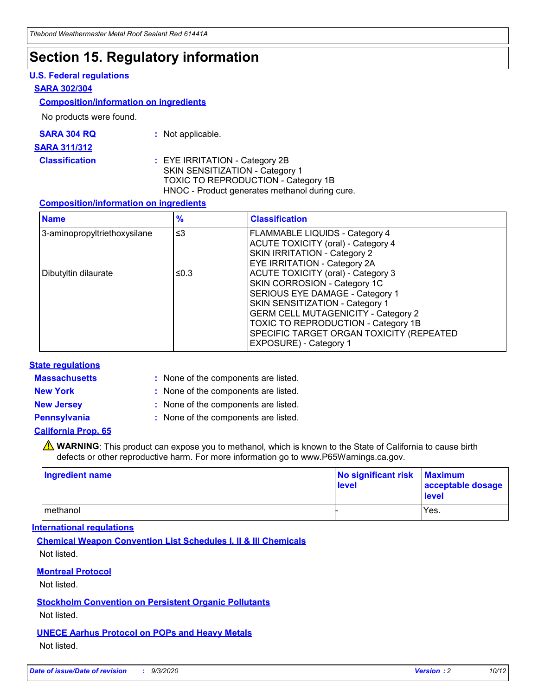### **Section 15. Regulatory information**

#### **U.S. Federal regulations**

#### **SARA 302/304**

#### **Composition/information on ingredients**

No products were found.

| SARA 304 RQ | Not applicable. |
|-------------|-----------------|
|-------------|-----------------|

#### **SARA 311/312**

#### **Classification :** EYE IRRITATION - Category 2B SKIN SENSITIZATION - Category 1 TOXIC TO REPRODUCTION - Category 1B HNOC - Product generates methanol during cure.

#### **Composition/information on ingredients**

| <b>Name</b>                  | $\frac{9}{6}$ | <b>Classification</b>                                                                                                                                                                                                                                                                                      |
|------------------------------|---------------|------------------------------------------------------------------------------------------------------------------------------------------------------------------------------------------------------------------------------------------------------------------------------------------------------------|
| 3-aminopropyltriethoxysilane | $\leq$ 3      | <b>FLAMMABLE LIQUIDS - Category 4</b><br><b>ACUTE TOXICITY (oral) - Category 4</b><br><b>SKIN IRRITATION - Category 2</b><br>EYE IRRITATION - Category 2A                                                                                                                                                  |
| Dibutyltin dilaurate         | ≤0.3          | <b>ACUTE TOXICITY (oral) - Category 3</b><br>SKIN CORROSION - Category 1C<br>SERIOUS EYE DAMAGE - Category 1<br>SKIN SENSITIZATION - Category 1<br><b>GERM CELL MUTAGENICITY - Category 2</b><br>TOXIC TO REPRODUCTION - Category 1B<br>SPECIFIC TARGET ORGAN TOXICITY (REPEATED<br>EXPOSURE) - Category 1 |

#### **State regulations**

**Massachusetts :**

: None of the components are listed.

**New York :** None of the components are listed.

**New Jersey :** None of the components are listed.

**Pennsylvania :** None of the components are listed.

#### **California Prop. 65**

WARNING: This product can expose you to methanol, which is known to the State of California to cause birth defects or other reproductive harm. For more information go to www.P65Warnings.ca.gov.

| Ingredient name | No significant risk<br>level | <b>Maximum</b><br>acceptable dosage<br><b>level</b> |
|-----------------|------------------------------|-----------------------------------------------------|
| methanol        |                              | Yes.                                                |

#### **International regulations**

**Chemical Weapon Convention List Schedules I, II & III Chemicals** Not listed.

#### **Montreal Protocol**

Not listed.

**Stockholm Convention on Persistent Organic Pollutants**

Not listed.

#### **UNECE Aarhus Protocol on POPs and Heavy Metals** Not listed.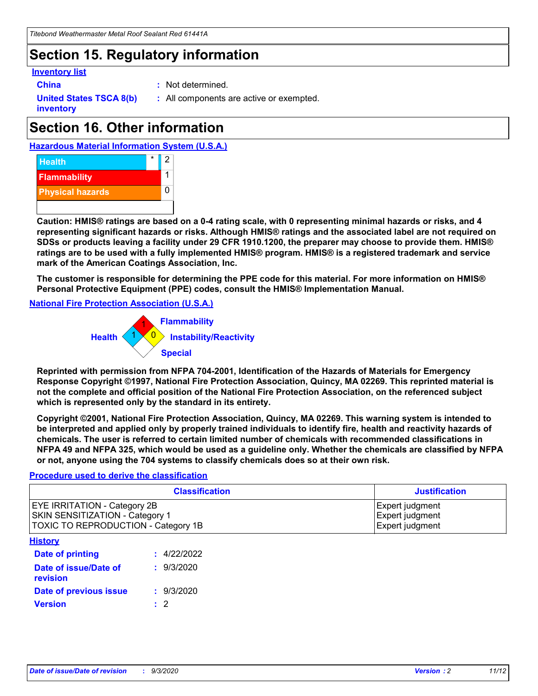### **Section 15. Regulatory information**

#### **Inventory list**

- 
- **China :** Not determined.

**United States TSCA 8(b) inventory**

**:** All components are active or exempted.

# **Section 16. Other information**





**Caution: HMIS® ratings are based on a 0-4 rating scale, with 0 representing minimal hazards or risks, and 4 representing significant hazards or risks. Although HMIS® ratings and the associated label are not required on SDSs or products leaving a facility under 29 CFR 1910.1200, the preparer may choose to provide them. HMIS® ratings are to be used with a fully implemented HMIS® program. HMIS® is a registered trademark and service mark of the American Coatings Association, Inc.**

**The customer is responsible for determining the PPE code for this material. For more information on HMIS® Personal Protective Equipment (PPE) codes, consult the HMIS® Implementation Manual.**

**National Fire Protection Association (U.S.A.)**



**Reprinted with permission from NFPA 704-2001, Identification of the Hazards of Materials for Emergency Response Copyright ©1997, National Fire Protection Association, Quincy, MA 02269. This reprinted material is not the complete and official position of the National Fire Protection Association, on the referenced subject which is represented only by the standard in its entirety.**

**Copyright ©2001, National Fire Protection Association, Quincy, MA 02269. This warning system is intended to be interpreted and applied only by properly trained individuals to identify fire, health and reactivity hazards of chemicals. The user is referred to certain limited number of chemicals with recommended classifications in NFPA 49 and NFPA 325, which would be used as a guideline only. Whether the chemicals are classified by NFPA or not, anyone using the 704 systems to classify chemicals does so at their own risk.**

#### **Procedure used to derive the classification**

| <b>Classification</b>                                                                                         | <b>Justification</b>                                  |
|---------------------------------------------------------------------------------------------------------------|-------------------------------------------------------|
| <b>EYE IRRITATION - Category 2B</b><br>SKIN SENSITIZATION - Category 1<br>TOXIC TO REPRODUCTION - Category 1B | Expert judgment<br>Expert judgment<br>Expert judgment |
| <b>History</b>                                                                                                |                                                       |

| <b>Date of printing</b>           | : 4/22/2022 |
|-----------------------------------|-------------|
| Date of issue/Date of<br>revision | : 9/3/2020  |
| Date of previous issue            | : 9/3/2020  |
| <b>Version</b>                    | $\cdot$ 2   |
|                                   |             |